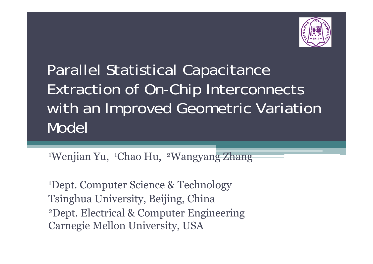

#### Parallel Statistical Capacitance Extraction of On-Chip Interconnects with an Improved Geometric Variation Model

<sup>1</sup>Wenjian Yu, 'Chao Hu, 'Wangyan<del>g Zhang</del>

1Dept. Computer Science & Technology Tsinghua University, Beijing, China 2Dept. Electrical & Computer Engineering Carnegie Mellon University, USA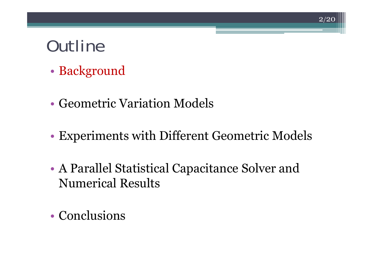- •Background
- Geometric Variation Models
- •Experiments with Different Geometric Models

- • A Parallel Statistical Capacitance Solver and Numerical Results
- Conclusions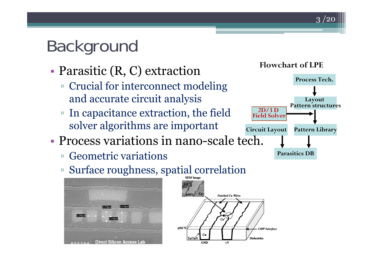## Background

- • Parasitic (R, C) extraction
	- Crucial for interconnect modeling and accurate circuit analysis
	- ▫ In capacitance extraction, the field solver algorithms are important
- Process variations in nano-scale tech.
	- $\Box$ Geometric variations
	- Surface roughness, spatial correlation





#### **Flowchart of LPE**

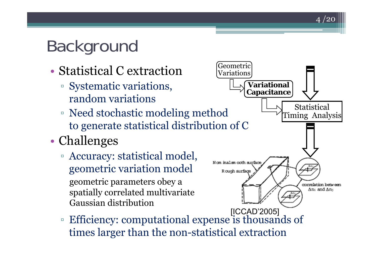## Background

- Statistical C extraction
	- Systematic variations, random variations
	- Need stochastic modeling method to generate statistical distribution of C
- • Challenges
	- Accuracy: statistical model, geometric variation model geometric parameters obey a spatially correlated multivariate Gaussian distribution



 $4/20$ 

 $\Box$  Efficiency: computational expense is thousands of times larger than the non-statistical extraction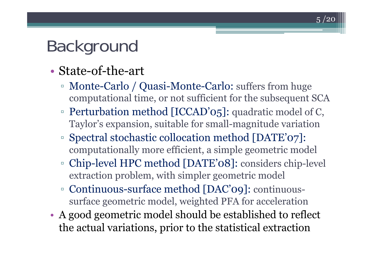#### Background

- State-of-the-art
	- ▫ Monte-Carlo / Quasi-Monte-Carlo: suffers from huge computational time, or not sufficient for the subsequent SCA

- □ Perturbation method [ICCAD'05]: quadratic model of C, Taylor's expansion, suitable for small-magnitude variation
- ▫ Spectral stochastic collocation method [DATE'07]: computationally more efficient, a simple geometric model
- ▫ Chip-level HPC method [DATE'08]: considers chip-level extraction problem, with simpler geometric model
- Continuous-surface method [DAC'09]: continuoussurface geometric model, weighted PFA for acceleration
- • A good geometric model should be established to reflect the actual variations, prior to the statistical extraction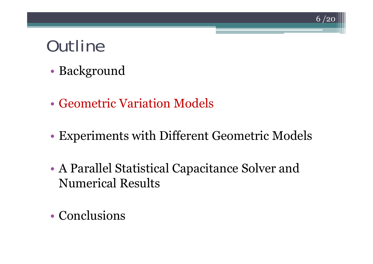- •Background
- Geometric Variation Models
- •Experiments with Different Geometric Models

- • A Parallel Statistical Capacitance Solver and Numerical Results
- Conclusions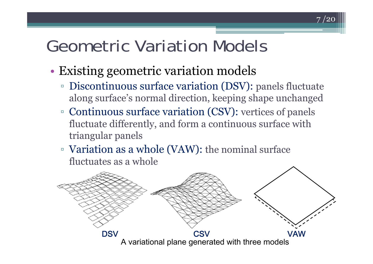- • Existing geometric variation models
	- ▫ Discontinuous surface variation (DSV): panels fluctuate along surface's normal direction, keeping shape unchanged

- Continuous surface variation (CSV): vertices of panels fluctuate differently, and form a continuous surface with triangular panels
- Variation as a whole (VAW): the nominal surface fluctuates as a whole

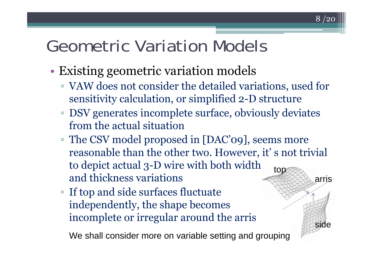- • Existing geometric variation models
	- VAW does not consider the detailed variations, used for sensitivity calculation, or simplified 2-D structure

 $8\ /20$ 

side

- DSV generates incomplete surface, obviously deviates from the actual situation
- The CSV model proposed in [DAC'09], seems more reasonable than the other two. However, it' s not trivial to depict actual 3-D wire with both width and thickness variationstop arris
- If top and side surfaces fluctuate independently, the shape becomes incomplete or irregular around the arris

We shall consider more on variable setting and grouping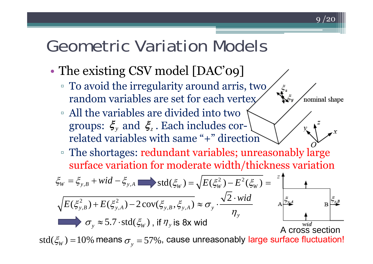•The existing CSV model [DAC'09]

*y*

- □ To avoid the irregularity around arris, two random variables are set for each vertex
- All the variables are divided into two groups:  $\boldsymbol{\xi}_{\mathrm{y}}$  and  $\boldsymbol{\xi}_{\mathrm{z}}$  . Each includes correlated variables with same "+" direction
- The shortages: redundant variables; unreasonably large surface variation for moderate width/thickness variation

9 / 2 0

nominal shape

$$
\xi_{W} = \xi_{y,B} + wid - \xi_{y,A} \qquad \text{std}(\xi_{W}) = \sqrt{E(\xi_{W}^{2}) - E^{2}(\xi_{W})} = \frac{1}{\sqrt{E(\xi_{y,B}^{2}) + E(\xi_{y,A}^{2}) - 2\text{cov}(\xi_{y,B}, \xi_{y,A})} \approx \sigma_{y} \cdot \frac{\sqrt{2} \cdot wid}{\eta_{y}}
$$
\n
$$
\sigma_{y} \approx 5.7 \cdot \text{std}(\xi_{W}), \text{ if } \eta_{y} \text{ is 8x wid} \qquad \text{A cross section}
$$
\n
$$
\text{std}(\xi_{W}) = 10\% \text{ means } \sigma_{y} = 57\% \text{, cause unreasonably large surface fluctuation!}
$$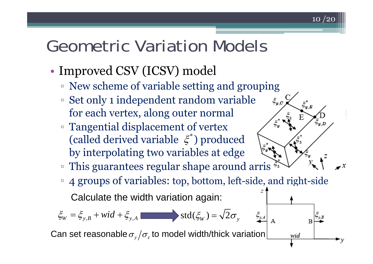- •• Improved CSV (ICSV) model
	- New scheme of variable setting and grouping
	- Set only 1 independent random variable for each vertex, along outer normal
	- Tangential displacement of vertex (called derived variable  $\zeta^*$ ) produced by interpolating two variables at edge
	- This guarantees regular shape around arris
	- 4 groups of variables: top, bottom, left-side, and right-side

10 /20

 $\xi_{y,C}$ 

wid

Calculate the width variation again:

 $\xi_{W} = \xi_{y,B} + wid + \xi_{y,A}$  std $(\xi_{W}) = \sqrt{2\sigma_{y,B}}$ 

Can set reasonable  $\sigma_y/\sigma_z$  to model width/thick variation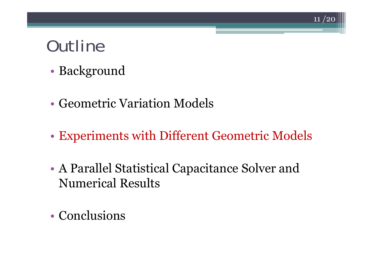- •Background
- Geometric Variation Models
- •Experiments with Different Geometric Models

- • A Parallel Statistical Capacitance Solver and Numerical Results
- Conclusions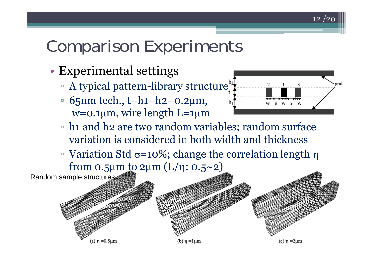## Comparison Experiments

- • Experimental settings
	- A typical pattern-library structure
	- □ 65nm tech., t=h1=h2=0.2μm, w=0.1 <sup>μ</sup>m, wire length L=1 μ m



- □ h1 and h2 are two random variables; random surface variation is considered in both width and thickness
- $□$  Variation Std σ=10%; change the correlation length η from 0.5μm <u>t</u>o 2μm (L/η: 0.5~2)

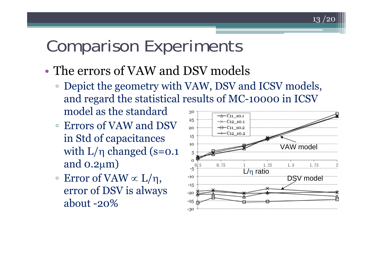#### Comparison Experiments

- The errors of VAW and DSV models
	- Depict the geometry with VAW, DSV and ICSV models, and regard the statistical results of MC-10000 in ICSV model as the standard30
	- Errors of VAW and DSV in Std of capacitances with  $L/\eta$  changed (s=0.1  $\,$ and 0.2 <sup>μ</sup>m)
	- $□$  Error of VAW ∝ L/η, error of DSV is always about -20%

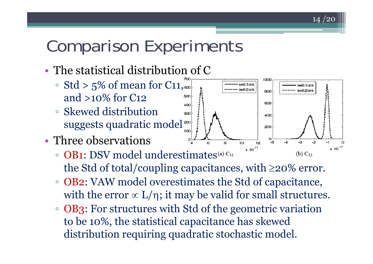## Comparison Experiments

- The statistical distribution of C
	- $\overline{\phantom{a}}$  Std > 5% of mean for C11, $_{\textrm{\tiny{6}}}$ and >10% for C12
	- Skewed distribution 300 suggests quadratic model<sup>200</sup>
- Three observations
	- □ OB1: DSV model underestimates (b)  $C_{12}$ the Std of total/coupling capacitances, with ≥20% error.
	- □ OB2: VAW model overestimates the Std of capacitance, with the error  $\propto$  L/η; it may be valid for small structures.
	- OB3: For structures with Std of the geometric variation to be 10%, the statistical capacitance has skewed distribution requiring quadratic stochastic model.

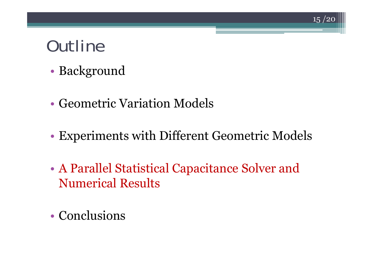- •Background
- Geometric Variation Models
- •Experiments with Different Geometric Models

- • A Parallel Statistical Capacitance Solver and Numerical Results
- Conclusions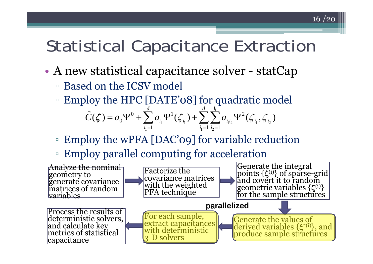#### Statistical Capacitance Extraction

- • A new statistical capacitance solver - statCap
	- Based on the ICSV model
	- ▫Employ the HPC [DATE'08] for quadratic model

$$
\tilde{C}(\zeta) = a_0 \Psi^0 + \sum_{i_1=1}^d a_{i_1} \Psi^1(\zeta_{i_1}) + \sum_{i_1=1}^d \sum_{i_2=1}^{i_1} a_{i_1 i_2} \Psi^2(\zeta_{i_1}, \zeta_{i_2})
$$

- $\Box$ Employ the wPFA [DAC'09] for variable reduction
- $\Box$ Employ parallel computing for acceleration

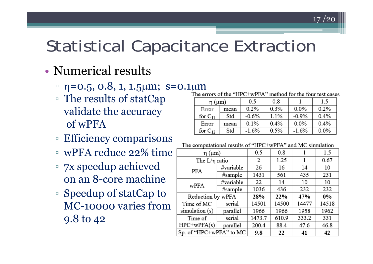#### Statistical Capacitance Extraction

#### • Numerical results

- □ η=0.5, 0.8, 1, 1.5μm; s=0.1μm
- The results of statCap validate the accuracy of wPFA
- Efficiency comparisons
- wPFA reduce 22% time
- $\Box$  7x speedup achieved on an 8-core machine
- Speedup of statCap to MC-10000 varies from9.8 to 42

 $17/20$ 

| $\eta$ ( $\mu$ m)     |      | 0.5     | 0.8  |         | 1.5     |
|-----------------------|------|---------|------|---------|---------|
| Error                 | mean | 0.2%    | 0.3% | $0.0\%$ | 0.2%    |
| for $\mathrm{C}_{11}$ | Std  | $-0.6%$ | 1.1% | $-0.9%$ | 0.4%    |
| Error                 | mean | 0.1%    | 0.4% | $0.0\%$ | 0.4%    |
| for $C_{12}$          | Std  | $-1.6%$ | 0.5% | $-1.6%$ | $0.0\%$ |

#### The computational results of "HPC+wPFA" and MC simulation

| η (μm)                  | 0.5       | 0.8    |       | 1.5   |       |
|-------------------------|-----------|--------|-------|-------|-------|
| The $L/\eta$ ratio      | 2         | 1.25   |       | 0.67  |       |
| PFA                     | #variable | 26     | 16    | 14    | 10    |
|                         | #sample   | 1431   | 561   | 435   | 231   |
| wPFA                    | #variable | 22     | 14    | 10    | 10    |
|                         | #sample   | 1036   | 436   | 232   | 232   |
| Reduction by wPFA       | 28%       | 22%    | 47%   | $0\%$ |       |
| Time of MC              | serial    | 14501  | 14500 | 14477 | 14518 |
| simulation (s)          | parallel  | 1966   | 1966  | 1958  | 1962  |
| Time of                 | serial    | 1473.7 | 610.9 | 333.2 | 331   |
| $HPC+wPFA(s)$           | parallel  | 200.4  | 88.4  | 47.6  | 46.8  |
| Sp. of "HPC+wPFA" to MC | 9.8       | 22     | 41    | 42    |       |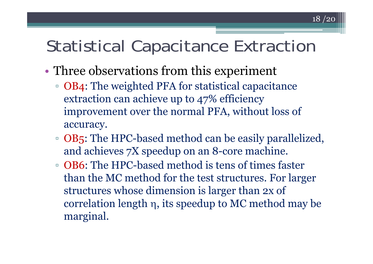#### Statistical Capacitance Extraction

- • Three observations from this experiment
	- OB4: The weighted PFA for statistical capacitance extraction can achieve up to 47% efficiency improvement over the normal PFA, without loss of accuracy.
	- OB5: The HPC-based method can be easily parallelized, and achieves 7X speedup on an 8-core machine.
	- OB6: The HPC-based method is tens of times faster than the MC method for the test structures. For larger structures whose dimension is larger than 2x of correlation length η, its speedup to MC method may be marginal.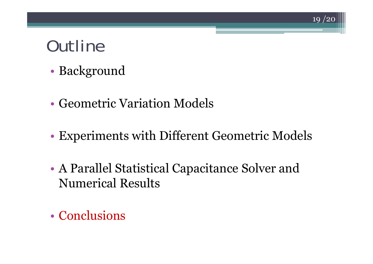- •Background
- Geometric Variation Models
- •Experiments with Different Geometric Models

- • A Parallel Statistical Capacitance Solver and Numerical Results
- Conclusions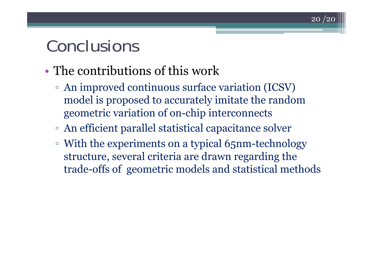#### Conclusions

- The contributions of this work
	- An improved continuous surface variation (ICSV) model is proposed to accurately imitate the random geometric variation of on-chip interconnects

- An efficient parallel statistical capacitance solver
- With the experiments on a typical 65nm-technology structure, several criteria are drawn regarding the trade-offs of geometric models and statistical methods